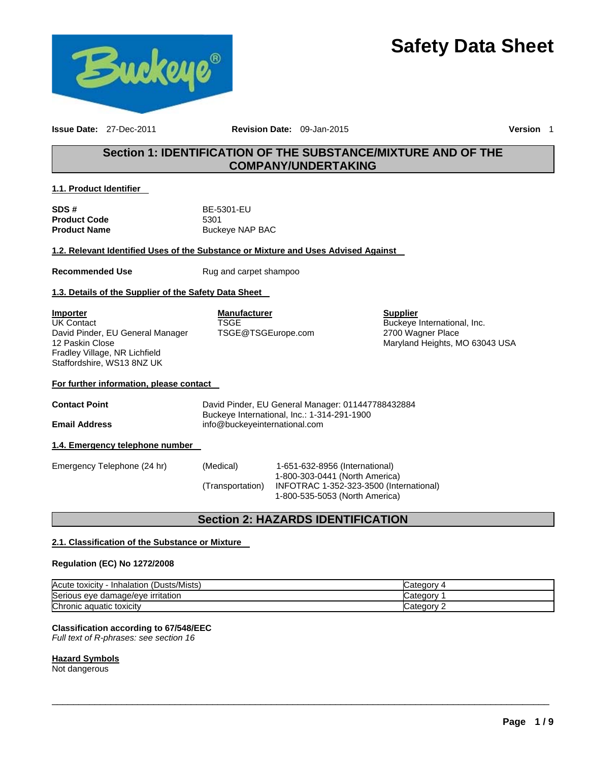



**Issue Date:** 27-Dec-2011 **Revision Date:** 09-Jan-2015 **Version** 1

# **Section 1: IDENTIFICATION OF THE SUBSTANCE/MIXTURE AND OF THE COMPANY/UNDERTAKING**

### **1.1. Product Identifier**

**SDS #** BE-5301-EU **Product Code** 5301

**Buckeye NAP BAC** 

### **1.2. Relevant Identified Uses of the Substance or Mixture and Uses Advised Against**

**Recommended Use** Rug and carpet shampoo

### **1.3. Details of the Supplier of the Safety Data Sheet**

**Importer** UK Contact David Pinder, EU General Manager 12 Paskin Close Fradley Village, NR Lichfield Staffordshire, WS13 8NZ UK

**Manufacturer TSGE** TSGE@TSGEurope.com **Supplier** Buckeye International, Inc. 2700 Wagner Place Maryland Heights, MO 63043 USA

### **For further information, please contact**

**Contact Point** David Pinder, EU General Manager: 011447788432884 Buckeye International, Inc.: 1-314-291-1900 **Email Address** info@buckeyeinternational.com

### **1.4. Emergency telephone number**

| Emergency Telephone (24 hr) | (Medical)        | 1-651-632-8956 (International)          |
|-----------------------------|------------------|-----------------------------------------|
|                             |                  | 1-800-303-0441 (North America)          |
|                             | (Transportation) | INFOTRAC 1-352-323-3500 (International) |
|                             |                  | 1-800-535-5053 (North America)          |

# **Section 2: HAZARDS IDENTIFICATION**

### **2.1. Classification of the Substance or Mixture**

### **Regulation (EC) No 1272/2008**

| (Dusts/Mists)<br>Acute toxicity<br>Inhalation | ategory    |
|-----------------------------------------------|------------|
| Serious eye damage/eye irritation             | Categor    |
| Chronic aquatic toxicity                      | Jategory 1 |

 $\Box$ 

# **Classification according to 67/548/EEC**

*Full text of R-phrases: see section 16* 

### **Hazard Symbols**

Not dangerous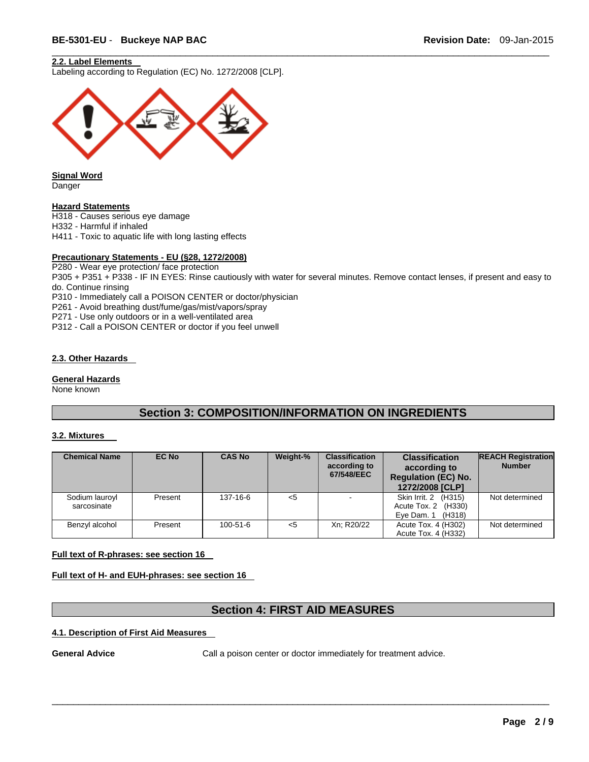### **2.2. Label Elements**

Labeling according to Regulation (EC) No. 1272/2008 [CLP].



**Signal Word**  Danger

#### **Hazard Statements**

H318 - Causes serious eye damage

H332 - Harmful if inhaled

H411 - Toxic to aquatic life with long lasting effects

#### **Precautionary Statements - EU (§28, 1272/2008)**

P280 - Wear eye protection/ face protection

P305 + P351 + P338 - IF IN EYES: Rinse cautiously with water for several minutes. Remove contact lenses, if present and easy to do. Continue rinsing

 $\Box$ 

P310 - Immediately call a POISON CENTER or doctor/physician

P261 - Avoid breathing dust/fume/gas/mist/vapors/spray

P271 - Use only outdoors or in a well-ventilated area

P312 - Call a POISON CENTER or doctor if you feel unwell

### **2.3. Other Hazards**

**General Hazards** 

None known

# **Section 3: COMPOSITION/INFORMATION ON INGREDIENTS**

#### **3.2. Mixtures**

| <b>Chemical Name</b>          | <b>EC No</b> | <b>CAS No</b>  | Weight-% | <b>Classification</b><br>according to<br>67/548/EEC | <b>Classification</b><br>according to<br><b>Regulation (EC) No.</b><br>1272/2008 [CLP] | <b>REACH Registration</b><br><b>Number</b> |
|-------------------------------|--------------|----------------|----------|-----------------------------------------------------|----------------------------------------------------------------------------------------|--------------------------------------------|
| Sodium lauroyl<br>sarcosinate | Present      | 137-16-6       | $<$ 5    |                                                     | Skin Irrit. 2 (H315)<br>Acute Tox. 2<br>(H330)<br>Eye Dam. 1<br>(H318)                 | Not determined                             |
| Benzyl alcohol                | Present      | $100 - 51 - 6$ | $<$ 5    | Xn: R20/22                                          | Acute Tox. 4 (H302)<br>Acute Tox. 4 (H332)                                             | Not determined                             |

### **Full text of R-phrases: see section 16**

**Full text of H- and EUH-phrases: see section 16** 

# **Section 4: FIRST AID MEASURES**

 $\Box$ 

### **4.1. Description of First Aid Measures**

**General Advice** Call a poison center or doctor immediately for treatment advice.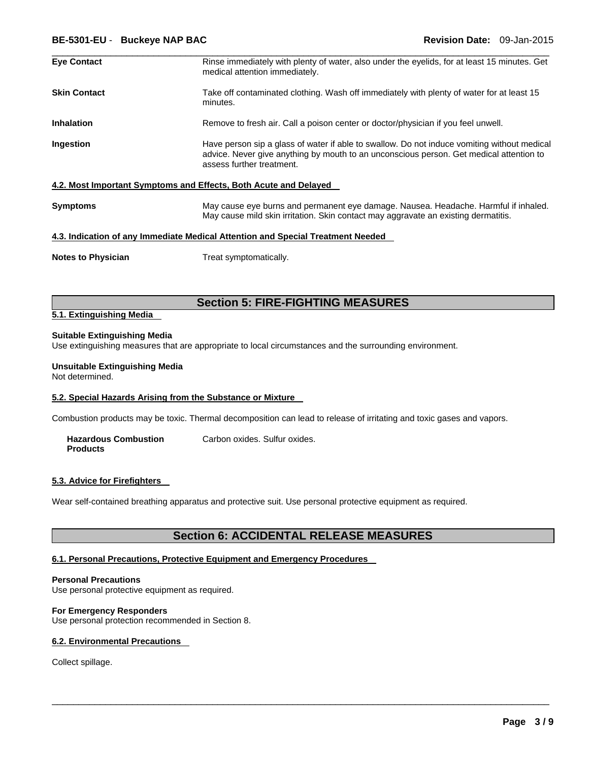| <b>Eye Contact</b>        | Rinse immediately with plenty of water, also under the eyelids, for at least 15 minutes. Get<br>medical attention immediately.                                                                                      |
|---------------------------|---------------------------------------------------------------------------------------------------------------------------------------------------------------------------------------------------------------------|
| <b>Skin Contact</b>       | Take off contaminated clothing. Wash off immediately with plenty of water for at least 15<br>minutes.                                                                                                               |
| <b>Inhalation</b>         | Remove to fresh air. Call a poison center or doctor/physician if you feel unwell.                                                                                                                                   |
| Ingestion                 | Have person sip a glass of water if able to swallow. Do not induce vomiting without medical<br>advice. Never give anything by mouth to an unconscious person. Get medical attention to<br>assess further treatment. |
|                           | 4.2. Most Important Symptoms and Effects, Both Acute and Delayed                                                                                                                                                    |
| <b>Symptoms</b>           | May cause eye burns and permanent eye damage. Nausea. Headache. Harmful if inhaled.<br>May cause mild skin irritation. Skin contact may aggravate an existing dermatitis.                                           |
|                           | 4.3. Indication of any Immediate Medical Attention and Special Treatment Needed                                                                                                                                     |
| <b>Notes to Physician</b> | Treat symptomatically.                                                                                                                                                                                              |

# **Section 5: FIRE-FIGHTING MEASURES**

#### **5.1. Extinguishing Media**

#### **Suitable Extinguishing Media**

Use extinguishing measures that are appropriate to local circumstances and the surrounding environment.

#### **Unsuitable Extinguishing Media**

Not determined.

### **5.2. Special Hazards Arising from the Substance or Mixture**

Combustion products may be toxic. Thermal decomposition can lead to release of irritating and toxic gases and vapors.

| <b>Hazardous Combustion</b> | Carbon oxides. Sulfur oxides. |
|-----------------------------|-------------------------------|
| <b>Products</b>             |                               |

#### **5.3. Advice for Firefighters**

Wear self-contained breathing apparatus and protective suit. Use personal protective equipment as required.

# **Section 6: ACCIDENTAL RELEASE MEASURES**

 $\Box$ 

#### **6.1. Personal Precautions, Protective Equipment and Emergency Procedures**

#### **Personal Precautions**

Use personal protective equipment as required.

### **For Emergency Responders**

Use personal protection recommended in Section 8.

### **6.2. Environmental Precautions**

Collect spillage.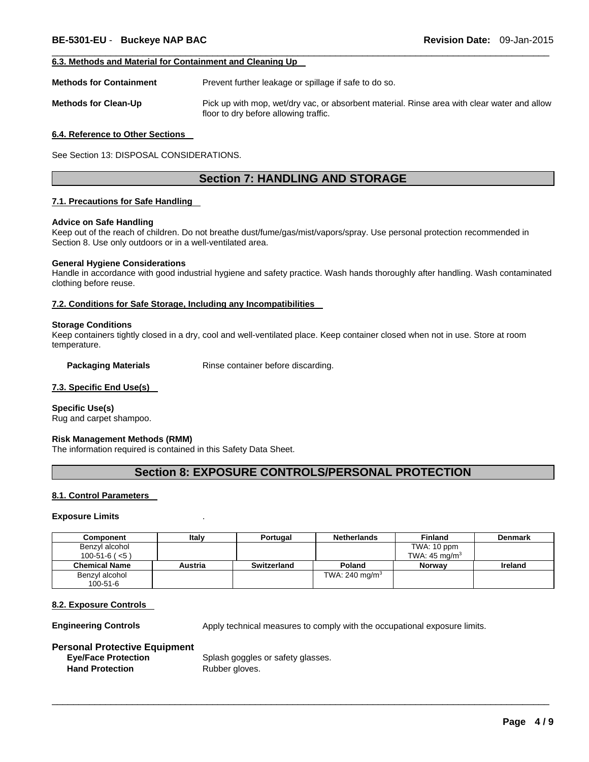#### **6.3. Methods and Material for Containment and Cleaning Up**

**Methods for Containment Prevent further leakage or spillage if safe to do so.** 

**Methods for Clean-Up** Pick up with mop, wet/dry vac, or absorbent material. Rinse area with clear water and allow floor to dry before allowing traffic.

 $\Box$ 

#### **6.4. Reference to Other Sections**

See Section 13: DISPOSAL CONSIDERATIONS.

## **Section 7: HANDLING AND STORAGE**

#### **7.1. Precautions for Safe Handling**

#### **Advice on Safe Handling**

Keep out of the reach of children. Do not breathe dust/fume/gas/mist/vapors/spray. Use personal protection recommended in Section 8. Use only outdoors or in a well-ventilated area.

#### **General Hygiene Considerations**

Handle in accordance with good industrial hygiene and safety practice. Wash hands thoroughly after handling. Wash contaminated clothing before reuse.

#### **7.2. Conditions for Safe Storage, Including any Incompatibilities**

#### **Storage Conditions**

Keep containers tightly closed in a dry, cool and well-ventilated place. Keep container closed when not in use. Store at room temperature.

**Packaging Materials Rinse container before discarding.** 

#### **7.3. Specific End Use(s)**

**Specific Use(s)**  Rug and carpet shampoo.

#### **Risk Management Methods (RMM)**

The information required is contained in this Safety Data Sheet.

## **Section 8: EXPOSURE CONTROLS/PERSONAL PROTECTION**

### **8.1. Control Parameters**

#### **Exposure Limits** .

| Component            | Italv   | Portugal    | <b>Netherlands</b> | <b>Finland</b>           | <b>Denmark</b> |
|----------------------|---------|-------------|--------------------|--------------------------|----------------|
| Benzyl alcohol       |         |             |                    | TWA: 10 ppm              |                |
| $100-51-6$ ( $< 5$ ) |         |             |                    | TWA: $45 \text{ ma/m}^3$ |                |
| <b>Chemical Name</b> | Austria | Switzerland | Poland             | <b>Norway</b>            | <b>Ireland</b> |
| Benzyl alcohol       |         |             | TWA: 240 mg/m $3$  |                          |                |
| $100 - 51 - 6$       |         |             |                    |                          |                |

 $\Box$ 

#### **8.2. Exposure Controls**

**Engineering Controls Apply technical measures to comply with the occupational exposure limits.** 

#### **Personal Protective Equipment**

Hand Protection **Rubber gloves**.

**Eye/Face Protection** Splash goggles or safety glasses.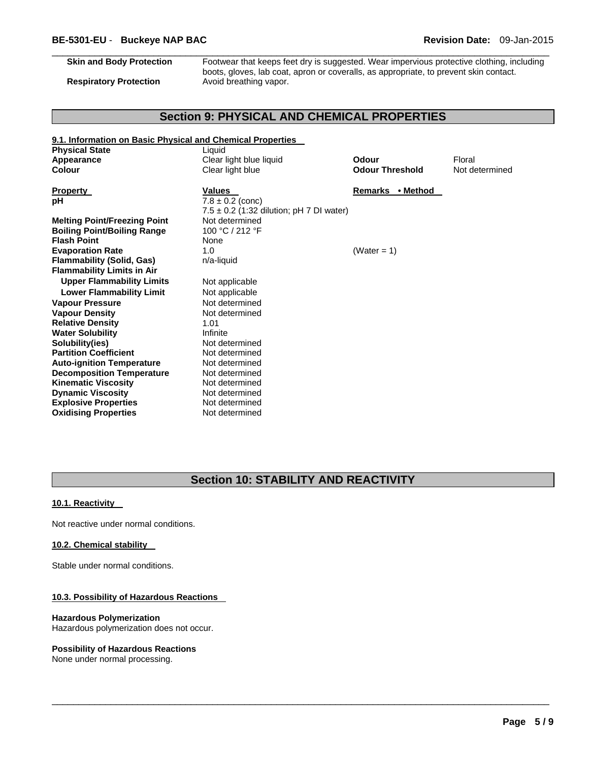$\Box$ **Skin and Body Protection** Footwear that keeps feet dry is suggested. Wear impervious protective clothing, including boots, gloves, lab coat, apron or coveralls, as appropriate, to prevent skin contact. **Respiratory Protection Avoid breathing vapor.** 

# **Section 9: PHYSICAL AND CHEMICAL PROPERTIES**

| 9.1. Information on Basic Physical and Chemical Properties |                                              |                        |                |
|------------------------------------------------------------|----------------------------------------------|------------------------|----------------|
| <b>Physical State</b>                                      | Liquid                                       |                        |                |
| Appearance                                                 | Clear light blue liquid                      | Odour                  | Floral         |
| Colour                                                     | Clear light blue                             | <b>Odour Threshold</b> | Not determined |
|                                                            |                                              |                        |                |
| <b>Property</b>                                            | <b>Values</b>                                | Remarks • Method       |                |
| рH                                                         | $7.8 \pm 0.2$ (conc)                         |                        |                |
|                                                            | $7.5 \pm 0.2$ (1:32 dilution; pH 7 DI water) |                        |                |
| <b>Melting Point/Freezing Point</b>                        | Not determined                               |                        |                |
| <b>Boiling Point/Boiling Range</b>                         | 100 °C / 212 °F                              |                        |                |
| <b>Flash Point</b>                                         | None                                         |                        |                |
| <b>Evaporation Rate</b>                                    | 1.0                                          | (Water = $1$ )         |                |
| <b>Flammability (Solid, Gas)</b>                           | n/a-liquid                                   |                        |                |
| <b>Flammability Limits in Air</b>                          |                                              |                        |                |
| <b>Upper Flammability Limits</b>                           | Not applicable                               |                        |                |
| <b>Lower Flammability Limit</b>                            | Not applicable                               |                        |                |
| <b>Vapour Pressure</b>                                     | Not determined                               |                        |                |
| <b>Vapour Density</b>                                      | Not determined                               |                        |                |
| <b>Relative Density</b>                                    | 1.01                                         |                        |                |
| <b>Water Solubility</b>                                    | Infinite                                     |                        |                |
| Solubility(ies)                                            | Not determined                               |                        |                |
| <b>Partition Coefficient</b>                               | Not determined                               |                        |                |
| <b>Auto-ignition Temperature</b>                           | Not determined                               |                        |                |
| <b>Decomposition Temperature</b>                           | Not determined                               |                        |                |
| <b>Kinematic Viscosity</b>                                 | Not determined                               |                        |                |
| <b>Dynamic Viscosity</b>                                   | Not determined                               |                        |                |
| <b>Explosive Properties</b>                                | Not determined                               |                        |                |
| <b>Oxidising Properties</b>                                | Not determined                               |                        |                |

# **Section 10: STABILITY AND REACTIVITY**

 $\Box$ 

### **10.1. Reactivity**

Not reactive under normal conditions.

### **10.2. Chemical stability**

Stable under normal conditions.

### **10.3. Possibility of Hazardous Reactions**

### **Hazardous Polymerization**

Hazardous polymerization does not occur.

### **Possibility of Hazardous Reactions**

None under normal processing.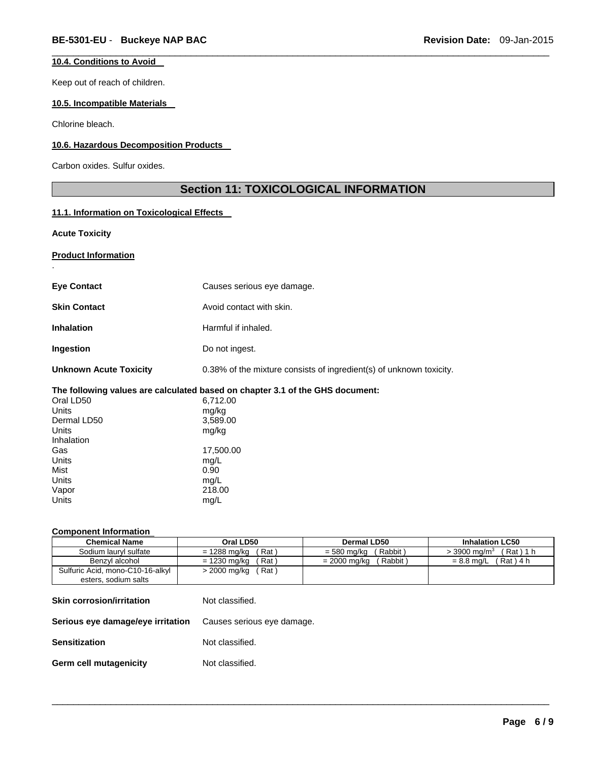### **10.4. Conditions to Avoid**

Keep out of reach of children.

#### **10.5. Incompatible Materials**

Chlorine bleach.

### **10.6. Hazardous Decomposition Products**

Carbon oxides. Sulfur oxides.

# **Section 11: TOXICOLOGICAL INFORMATION**

 $\Box$ 

### **11.1. Information on Toxicological Effects**

**Acute Toxicity** 

.

### **Product Information**

| Causes serious eye damage.                                                    |
|-------------------------------------------------------------------------------|
| Avoid contact with skin.                                                      |
| Harmful if inhaled.                                                           |
| Do not ingest.                                                                |
| 0.38% of the mixture consists of ingredient(s) of unknown toxicity.           |
| The following values are calculated based on chapter 3.1 of the GHS document: |
| 6,712.00                                                                      |
| mg/kg                                                                         |
| 3,589.00                                                                      |
| mg/kg                                                                         |
|                                                                               |
| 17,500.00                                                                     |
| mg/L                                                                          |
| 0.90                                                                          |
| mg/L                                                                          |
| 218.00                                                                        |
| mg/L                                                                          |
|                                                                               |

#### **Component Information**

| <b>Chemical Name</b>             | Oral LD50              | Dermal LD50             | <b>Inhalation LC50</b>                 |
|----------------------------------|------------------------|-------------------------|----------------------------------------|
| Sodium lauryl sulfate            | $= 1288$ mg/kg<br>Rat) | Rabbit)<br>= 580 ma/ka  | $>$ 3900 mg/m <sup>3</sup><br>(Rat)1 h |
| Benzvl alcohol                   | = 1230 ma/ka<br>Rat)   | = 2000 ma/ka<br>Rabbit) | (Rat)4 h<br>$= 8.8$ ma/L               |
| Sulfuric Acid, mono-C10-16-alkyl | Rat)<br>> 2000 mg/kg   |                         |                                        |
| esters, sodium salts             |                        |                         |                                        |

 $\Box$ 

| <b>Skin corrosion/irritation</b>                                    | Not classified. |
|---------------------------------------------------------------------|-----------------|
| <b>Serious eye damage/eye irritation</b> Causes serious eye damage. |                 |
| <b>Sensitization</b>                                                | Not classified. |
| <b>Germ cell mutagenicity</b>                                       | Not classified. |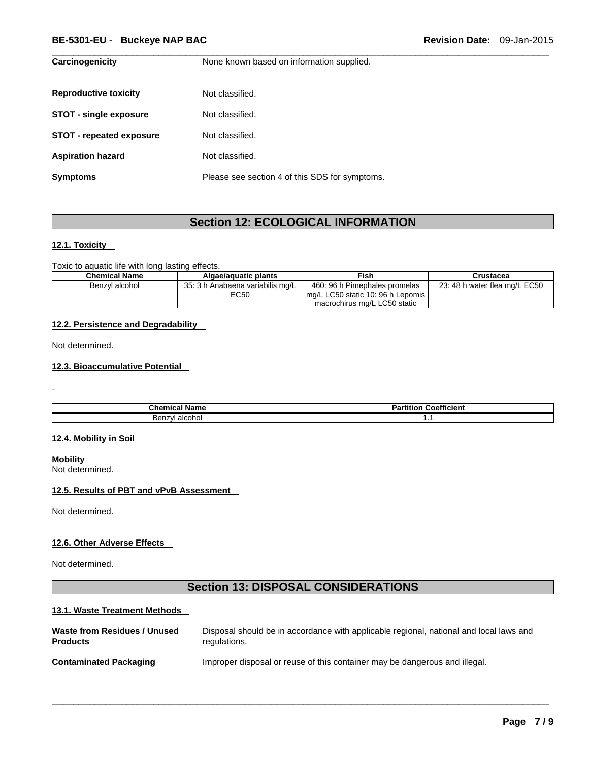### **BE-5301-EU** - **Buckeye NAP BAC Revision Date:** 09-Jan-2015

| Carcinogenicity                 | None known based on information supplied.      |
|---------------------------------|------------------------------------------------|
| <b>Reproductive toxicity</b>    | Not classified.                                |
| <b>STOT - single exposure</b>   | Not classified.                                |
| <b>STOT - repeated exposure</b> | Not classified.                                |
| <b>Aspiration hazard</b>        | Not classified.                                |
| <b>Symptoms</b>                 | Please see section 4 of this SDS for symptoms. |

# **Section 12: ECOLOGICAL INFORMATION**

 $\Box$ 

### **12.1. Toxicity**

Toxic to aquatic life with long lasting effects.

| <b>Chemical Name</b> | Algae/aquatic plants                            | Fish                                                                                               | Crustacea                     |
|----------------------|-------------------------------------------------|----------------------------------------------------------------------------------------------------|-------------------------------|
| Benzvl alcohol       | 35: 3 h Anabaena variabilis mg/L<br><b>EC50</b> | 460: 96 h Pimephales promelas<br>mq/L LC50 static 10: 96 h Lepomis<br>macrochirus mg/L LC50 static | 23: 48 h water flea mg/L EC50 |

### **12.2. Persistence and Degradability**

Not determined.

.

### **12.3. Bioaccumulative Potential**

| ∵hem                                                           |             |
|----------------------------------------------------------------|-------------|
| name                                                           | Coefficient |
| шса                                                            | . amor      |
| alcohol<br>- Ber<br>$\sim$ $\sim$ $\sim$<br>$\sim$ $\sim$<br>. | .           |

### **12.4. Mobility in Soil**

**Mobility**  Not determined.

### **12.5. Results of PBT and vPvB Assessment**

Not determined.

#### **12.6. Other Adverse Effects**

Not determined.

# **Section 13: DISPOSAL CONSIDERATIONS**

### **13.1. Waste Treatment Methods**

| Waste from Residues / Unused  | Disposal should be in accordance with applicable regional, national and local laws and |
|-------------------------------|----------------------------------------------------------------------------------------|
| <b>Products</b>               | regulations.                                                                           |
| <b>Contaminated Packaging</b> | Improper disposal or reuse of this container may be dangerous and illegal.             |

 $\Box$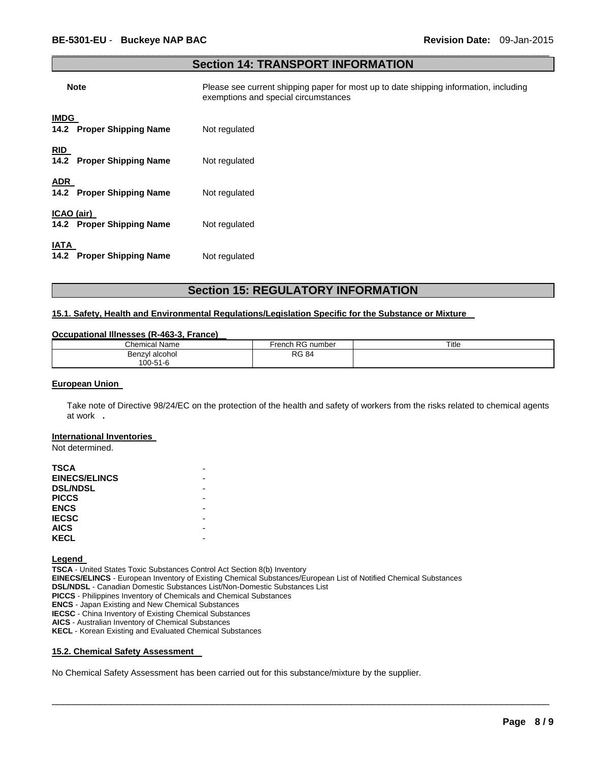### $\Box$ **Section 14: TRANSPORT INFORMATION**

| <b>Note</b>                              | Please see current shipping paper for most up to date shipping information, including<br>exemptions and special circumstances |
|------------------------------------------|-------------------------------------------------------------------------------------------------------------------------------|
| <b>IMDG</b><br>14.2 Proper Shipping Name | Not regulated                                                                                                                 |
| <b>RID</b><br>14.2 Proper Shipping Name  | Not regulated                                                                                                                 |
| <b>ADR</b><br>14.2 Proper Shipping Name  | Not regulated                                                                                                                 |
| ICAO (air)<br>14.2 Proper Shipping Name  | Not regulated                                                                                                                 |
| <b>IATA</b>                              |                                                                                                                               |

# **Section 15: REGULATORY INFORMATION**

## **15.1. Safety, Health and Environmental Regulations/Legislation Specific for the Substance or Mixture**

#### **Occupational Illnesses (R-463-3, France)**

**14.2 Proper Shipping Name** Not regulated

| <b>Chemical Name</b> | ⊦RG<br>French<br>i number | Title |
|----------------------|---------------------------|-------|
| Benzvl<br>l alcohol  | <b>RG 84</b>              |       |
| 100-51-6             |                           |       |

#### **European Union**

Take note of Directive 98/24/EC on the protection of the health and safety of workers from the risks related to chemical agents at work **.** 

 $\Box$ 

#### **International Inventories**

Not determined.

| TSCA                 |  |
|----------------------|--|
| <b>EINECS/ELINCS</b> |  |
| <b>DSL/NDSL</b>      |  |
| <b>PICCS</b>         |  |
| <b>ENCS</b>          |  |
| <b>IECSC</b>         |  |
| <b>AICS</b>          |  |
| <b>KECL</b>          |  |

**Legend** 

**TSCA** - United States Toxic Substances Control Act Section 8(b) Inventory **EINECS/ELINCS** - European Inventory of Existing Chemical Substances/European List of Notified Chemical Substances **DSL/NDSL** - Canadian Domestic Substances List/Non-Domestic Substances List **PICCS** - Philippines Inventory of Chemicals and Chemical Substances **ENCS** - Japan Existing and New Chemical Substances **IECSC** - China Inventory of Existing Chemical Substances **AICS** - Australian Inventory of Chemical Substances **KECL** - Korean Existing and Evaluated Chemical Substances

### **15.2. Chemical Safety Assessment**

No Chemical Safety Assessment has been carried out for this substance/mixture by the supplier.